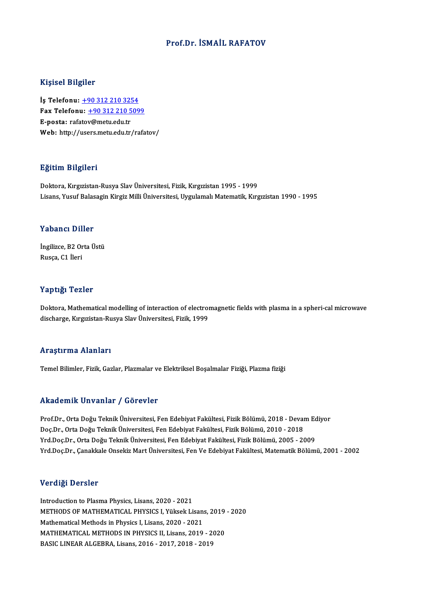### Prof.Dr. İSMAİL RAFATOV

#### Kişisel Bilgiler

Kişisel Bilgiler<br>İş Telefonu: <u>+90 312 210 3254</u><br>Fax Telefonu: +90 312 210 509 Fax Telefonu:  $\frac{+90\,312\,210\,5099}{E\text{-}posta: \text{rafatov@metu.edu.tr}}$ İş Telefonu: <u>+90 312 210 32!</u><br>Fax Telefonu: <u>+90 312 210 5</u><br>E-posta: rafa[to](tel:+90 312 210 3254)[v@metu.edu.tr](tel:+90 312 210 5099)<br>Web: http://users.metu.edu.tr Web: http://users.metu.edu.tr/rafatov/

#### Eğitim Bilgileri

Doktora, Kırgızistan-Rusya Slav Üniversitesi, Fizik, Kırgızistan 1995 - 1999 Lisans, Yusuf Balasagin Kirgiz Milli Üniversitesi, Uygulamalı Matematik, Kırgızistan 1990 - 1995

#### Yabancı Diller

Yabancı Diller<br>İngilizce, B2 Orta Üstü<br><sup>Bugga</sup> G1 İleri rusuner Bir<br>İngilizce, B2 Or<br>Rusça, C1 İleri

# Rusça, C1 İleri<br>Yaptığı Tezler

Doktora, Mathematical modelling of interaction of electromagnetic fields with plasma in a spheri-cal microwave discharge, Kırgızistan-Rusya Slav Üniversitesi, Fizik, 1999

#### Araştırma Alanları

Temel Bilimler, Fizik, Gazlar, Plazmalar ve Elektriksel Boşalmalar Fiziği, Plazma fiziği

#### Akademik Unvanlar / Görevler

Akademik Unvanlar / Görevler<br>Prof.Dr., Orta Doğu Teknik Üniversitesi, Fen Edebiyat Fakültesi, Fizik Bölümü, 2018 - Devam Ediyor<br>Des Dr., Orta Doğu Telmik Üniversitesi, Fen Edebiyat Fakültesi, Fizik Bölümü, 2010, 2019 rrittat eririk Erivaniar 7 deri evrer<br>Prof.Dr., Orta Doğu Teknik Üniversitesi, Fen Edebiyat Fakültesi, Fizik Bölümü, 2018 - Devai<br>Doç.Dr., Orta Doğu Teknik Üniversitesi, Fen Edebiyat Fakültesi, Fizik Bölümü, 2000 - 2018<br>Vr Prof.Dr., Orta Doğu Teknik Üniversitesi, Fen Edebiyat Fakültesi, Fizik Bölümü, 2018 - Devam Ed<br>Doç.Dr., Orta Doğu Teknik Üniversitesi, Fen Edebiyat Fakültesi, Fizik Bölümü, 2010 - 2018<br>Yrd.Doç.Dr., Orta Doğu Teknik Ünivers Doç.Dr., Orta Doğu Teknik Üniversitesi, Fen Edebiyat Fakültesi, Fizik Bölümü, 2010 - 2018<br>Yrd.Doç.Dr., Orta Doğu Teknik Üniversitesi, Fen Edebiyat Fakültesi, Fizik Bölümü, 2005 - 2009<br>Yrd.Doç.Dr., Çanakkale Onsekiz Mart Ün

#### Verdiği Dersler

Introduction to Plasma Physics, Lisans, 2020 - 2021 Vor digi Dorbior<br>Introduction to Plasma Physics, Lisans, 2020 - 2021<br>METHODS OF MATHEMATICAL PHYSICS I, Yüksek Lisans, 2019 - 2020<br>Mathematical Matheds in Physics I, Lisans, 2020 - 2021 Introduction to Plasma Physics, Lisans, 2020 - 2021<br>METHODS OF MATHEMATICAL PHYSICS I, Yüksek Lisans<br>Mathematical Methods in Physics I, Lisans, 2020 - 2021<br>MATHEMATICAL METHODS IN PHYSICS II Lisans, 2019 METHODS OF MATHEMATICAL PHYSICS I, Yüksek Lisans, 2019<br>Mathematical Methods in Physics I, Lisans, 2020 - 2021<br>MATHEMATICAL METHODS IN PHYSICS II, Lisans, 2019 - 2020<br>RASIC LINEAR ALCERRA, Lisans, 2016 - 2017, 2019 - 2019 Mathematical Methods in Physics I, Lisans, 2020 - 2021<br>MATHEMATICAL METHODS IN PHYSICS II, Lisans, 2019 - 2<br>BASIC LINEAR ALGEBRA, Lisans, 2016 - 2017, 2018 - 2019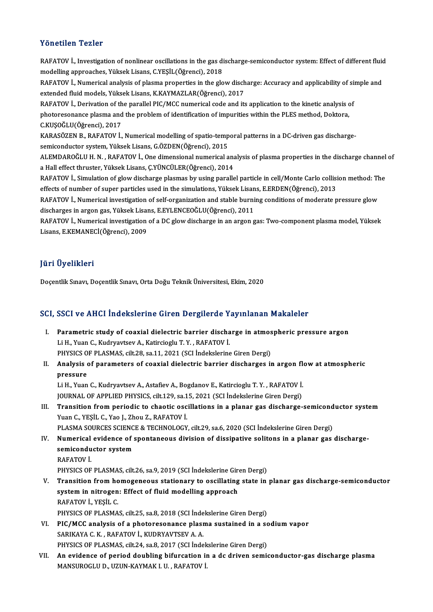## Yönetilen Tezler

Yönetilen Tezler<br>RAFATOV İ., Investigation of nonlinear oscillations in the gas discharge-semiconductor system: Effect of different fluid<br>modelling annreaches. Vülgek Lisans. G.YESU (Öğrensi), 2018 modelling approaches, Yüksek Lisans, C.YEŞİL(Öğrenci), 2018<br>modelling approaches, Yüksek Lisans, C.YEŞİL(Öğrenci), 2018<br>BAEATOV İ. Numerisel analysis of plasma propertise in the slo RAFATOV İ., Investigation of nonlinear oscillations in the gas discharge-semiconductor system: Effect of different fluid<br>modelling approaches, Yüksek Lisans, C.YEŞİL(Öğrenci), 2018<br>RAFATOV İ., Numerical analysis of plasma modelling approaches, Yüksek Lisans, C.YEŞİL(Öğrenci), 2018<br>RAFATOV İ., Numerical analysis of plasma properties in the glow disch<br>extended fluid models, Yüksek Lisans, K.KAYMAZLAR(Öğrenci), 2017<br>BAEATOV İ. Deriyation of th RAFATOV İ., Numerical analysis of plasma properties in the glow discharge: Accuracy and applicability of site<br>extended fluid models, Yüksek Lisans, K.KAYMAZLAR(Öğrenci), 2017<br>RAFATOV İ., Derivation of the parallel PIC/MCC extended fluid models, Yüksek Lisans, K.KAYMAZLAR(Öğrenci), 2017<br>RAFATOV İ., Derivation of the parallel PIC/MCC numerical code and its application to the kinetic analysis c<br>photoresonance plasma and the problem of identifi RAFATOV İ., Derivation of th<br>photoresonance plasma and<br>C.KUŞOĞLU(Öğrenci), 2017<br>KARASÖZEN B., BAEATOV İ. photoresonance plasma and the problem of identification of impurities within the PLES method, Doktora,<br>C.KUŞOĞLU(Öğrenci), 2017<br>KARASÖZEN B., RAFATOV İ., Numerical modelling of spatio-temporal patterns in a DC-driven gas d C.KUŞOĞLU(Öğrenci), 2017<br>KARASÖZEN B., RAFATOV İ., Numerical modelling of spatio-temp<br>semiconductor system, Yüksek Lisans, G.ÖZDEN(Öğrenci), 2015<br>ALEMDAROĞLU H. N., BAFATOV İ. Ona dimansisnal numarisal a KARASÖZEN B., RAFATOV İ., Numerical modelling of spatio-temporal patterns in a DC-driven gas discharge-<br>semiconductor system, Yüksek Lisans, G.ÖZDEN(Öğrenci), 2015<br>ALEMDAROĞLU H. N. , RAFATOV İ., One dimensional numerical semiconductor system, Yüksek Lisans, G.ÖZDEN(Öğrenci), 2015<br>ALEMDAROĞLU H. N. , RAFATOV İ., One dimensional numerical analysis of plasma properties in the discharge channel of<br>a Hall effect thruster, Yüksek Lisans, Ç.YÜNCÜ ALEMDAROĞLU H. N. , RAFATOV İ., One dimensional numerical analysis of plasma properties in the discharge channel<br>a Hall effect thruster, Yüksek Lisans, Ç.YÜNCÜLER(Öğrenci), 2014<br>RAFATOV İ., Simulation of glow discharge pla a Hall effect thruster, Yüksek Lisans, Ç.YÜNCÜLER(Öğrenci), 2014<br>RAFATOV İ., Simulation of glow discharge plasmas by using parallel particle in cell/Monte Carlo collisi<br>effects of number of super particles used in the simu RAFATOV İ., Simulation of glow discharge plasmas by using parallel particle in cell/Monte Carlo collision method: The<br>effects of number of super particles used in the simulations, Yüksek Lisans, E.ERDEN(Öğrenci), 2013<br>RAFA effects of number of super particles used in the simulations, Yüksek Lisan<br>RAFATOV İ., Numerical investigation of self-organization and stable burni<br>discharges in argon gas, Yüksek Lisans, E.EYLENCEOĞLU(Öğrenci), 2011<br>RAFA RAFATOV İ., Numerical investigation of self-organization and stable burning conditions of moderate pressure glow<br>discharges in argon gas, Yüksek Lisans, E.EYLENCEOĞLU(Öğrenci), 2011<br>RAFATOV İ., Numerical investigation of a discharges in argon gas, Yüksek Lisaı<br>RAFATOV İ., Numerical investigation<br>Lisans, E.KEMANECİ(Öğrenci), 2009

## JüriÜyelikleri

Doçentlik Sınavı, Doçentlik Sınavı, Orta Doğu Teknik Üniversitesi, Ekim, 2020

# Doçentik Sinavi, Doçentik Sinavi, Orta Doğu Teknik Oniversitesi, Ekim, 2020<br>SCI, SSCI ve AHCI İndekslerine Giren Dergilerde Yayınlanan Makaleler

- CI, SSCI ve AHCI İndekslerine Giren Dergilerde Yayınlanan Makaleler<br>I. Parametric study of coaxial dielectric barrier discharge in atmospheric pressure argon<br>Li H. Yuan C. Kudryaytay, A. Katingiagh, T. V., BAEATOV İ I. Parametric study of coaxial dielectric barrier discharge in atmospheric pressure argon<br>Li H., Yuan C., Kudryavtsev A., Katircioglu T.Y., RAFATOV İ. Parametric study of coaxial dielectric barrier discharge in atmos<br>Li H., Yuan C., Kudryavtsev A., Katircioglu T. Y. , RAFATOV İ.<br>PHYSICS OF PLASMAS, cilt.28, sa.11, 2021 (SCI İndekslerine Giren Dergi)<br>Analysis of paramatar
- II. Analysis of parameters of coaxial dielectric barrier discharges in argon flow at atmospheric pressure PHYSICS O<br>**Analysis**<br>pressure<br>Li H. Vuon Analysis of parameters of coaxial dielectric barrier discharges in argon flo<br>pressure<br>Li H., Yuan C., Kudryavtsev A., Astafiev A., Bogdanov E., Katircioglu T. Y. , RAFATOV İ.<br>JOUPMAL OF APPLIED PHYSICS silt 129, sa 15, 202

pressure<br>Li H., Yuan C., Kudryavtsev A., Astafiev A., Bogdanov E., Katircioglu T. Y. , RAFATOV İ.<br>JOURNAL OF APPLIED PHYSICS, cilt.129, sa.15, 2021 (SCI İndekslerine Giren Dergi)<br>Trangition from noriodia to chootis oscilla

Li H., Yuan C., Kudryavtsev A., Astafiev A., Bogdanov E., Katircioglu T. Y. , RAFATOV İ.<br>JOURNAL OF APPLIED PHYSICS, cilt.129, sa.15, 2021 (SCI İndekslerine Giren Dergi)<br>III. Transition from periodic to chaotic oscilla **JOURNAL OF APPLIED PHYSICS, cilt.129, sa.1**<br>**Transition from periodic to chaotic osc<br>Yuan C., YEŞİL C., Yao J., Zhou Z., RAFATOV İ.**<br>PLASMA SOURCES SCIENCE & TECHNOLOCY Transition from periodic to chaotic oscillations in a planar gas discharge-semicond<br>Yuan C., YEŞİL C., Yao J., Zhou Z., RAFATOV İ.<br>PLASMA SOURCES SCIENCE & TECHNOLOGY, cilt.29, sa.6, 2020 (SCI İndekslerine Giren Dergi)<br>Num IV. Yuan C., YEŞİL C., Yao J., Zhou Z., RAFATOV İ.<br>PLASMA SOURCES SCIENCE & TECHNOLOGY, cilt.29, sa.6, 2020 (SCI İndekslerine Giren Dergi)<br>IV. Numerical evidence of spontaneous division of dissipative solitons in a pla

PLASMA SOURCES SCIENCE & TECHNOLOGY, cilt.29, sa.6, 2020 (SCI Indekslerine Giren Dergi)<br>Numerical evidence of spontaneous division of dissipative solitons in a planar gas<br>semiconductor system<br>RAFATOV I. semiconductor system semiconductor system<br>RAFATOV İ.<br>PHYSICS OF PLASMAS, cilt.26, sa.9, 2019 (SCI İndekslerine Giren Dergi)<br>Transition from bomoganeous stationary to oscillating state in

RAFATOV İ.<br>PHYSICS OF PLASMAS, cilt.26, sa.9, 2019 (SCI İndekslerine Giren Dergi)<br>V. Transition from homogeneous stationary to oscillating state in planar gas discharge-semiconductor<br>system in pitrogen: Effect of fluid PHYSICS OF PLASMAS, cilt.26, sa.9, 2019 (SCI İndekslerine Girm<br>Transition from homogeneous stationary to oscillating<br>system in nitrogen: Effect of fluid modelling approach<br>RAFATOV İ. YESİL C **Transition from ho<br>system in nitrogen<br>RAFATOV İ., YEŞİL C.<br>puvsics OE PLASMA** system in nitrogen: Effect of fluid modelling approach<br>RAFATOV İ., YEŞİL C.<br>PHYSICS OF PLASMAS, cilt.25, sa.8, 2018 (SCI İndekslerine Giren Dergi)<br>PIC (MCC analysis of a photorosonance plasma sustained in a sc

- RAFATOV İ., YEŞİL C.<br>PHYSICS OF PLASMAS, cilt.25, sa.8, 2018 (SCI İndekslerine Giren Dergi)<br>VI. PIC/MCC analysis of a photoresonance plasma sustained in a sodium vapor<br>SARIKAYA C. K., RAFATOV İ., KUDRYAVTSEV A. A. PHYSICS OF PLASMAS, cilt.25, sa.8, 2018 (SCI Inde<br>PIC/MCC analysis of a photoresonance plasm<br>SARIKAYA C. K., RAFATOV İ., KUDRYAVTSEV A. A.<br>PHYSICS OF PLASMAS, silt.24, sa.8, 2017 (SCI Inde PIC/MCC analysis of a photoresonance plasma sustained in a sc<br>SARIKAYA C. K., RAFATOV İ., KUDRYAVTSEV A. A.<br>PHYSICS OF PLASMAS, cilt.24, sa.8, 2017 (SCI İndekslerine Giren Dergi)<br>An evidence of norjed develing bifureation
- VII. An evidence of period doubling bifurcation in a dc driven semiconductor-gas discharge plasma<br>MANSUROGLU D., UZUN-KAYMAK I. U., RAFATOV İ. PHYSICS OF PLASMAS, cilt.24, sa.8, 2017 (SCI İndek<br>An evidence of period doubling bifurcation i1<br>MANSUROGLU D., UZUN-KAYMAK I. U. , RAFATOV İ.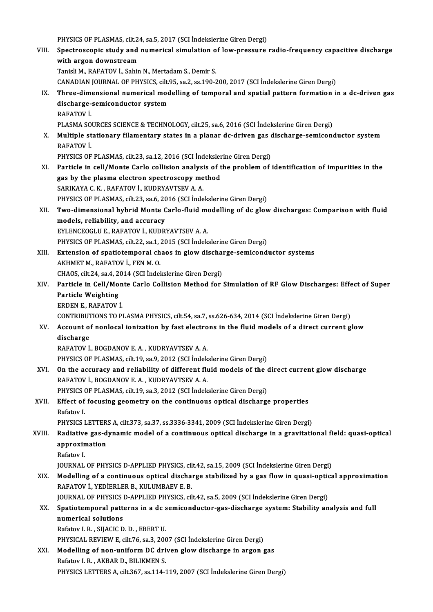- PHYSICS OF PLASMAS, cilt.24, sa.5, 2017 (SCI İndekslerine Giren Dergi)<br>Spectressenis study and numerisel simulation of low pressure VIII. Spectroscopic study and numerical simulation of low-pressure radio-frequency capacitive discharge<br>with argon downstream PHYSICS OF PLASMAS, cilt.24<br>Spectroscopic study and<br>with argon downstream<br>Tanieli M. BAEATOV L. Sebin Tanisli M., RAFATOV İ., Sahin N., Mertadam S., Demir S. with argon downstream<br>Tanisli M., RAFATOV İ., Sahin N., Mertadam S., Demir S.<br>CANADIAN JOURNAL OF PHYSICS, cilt.95, sa.2, ss.190-200, 2017 (SCI İndekslerine Giren Dergi)<br>Three dimensional numerical modelling of temneral an IX. Three-dimensional numerical modelling of temporal and spatial pattern formation in a dc-driven gas CANADIAN JOURNAL OF PHYSICS, cilt.<br>Three-dimensional numerical mod<br>discharge-semiconductor system<br>RAEATOV İ discharge-semiconductor system<br>RAFATOV İ. discharge-semiconductor system<br>RAFATOV İ.<br>PLASMA SOURCES SCIENCE & TECHNOLOGY, cilt.25, sa.6, 2016 (SCI İndekslerine Giren Dergi)<br>Multiple stationary filamentary states in a planar de driven ses discharge semisens RAFATOV İ.<br>PLASMA SOURCES SCIENCE & TECHNOLOGY, cilt.25, sa.6, 2016 (SCI İndekslerine Giren Dergi)<br>X. Multiple stationary filamentary states in a planar dc-driven gas discharge-semiconductor system<br>RAFATOV İ PLASMA SO<br>**Multiple st<br>RAFATOV İ.**<br>PHYSICS OF Multiple stationary filamentary states in a planar dc-driven gas of<br>RAFATOV İ.<br>PHYSICS OF PLASMAS, cilt.23, sa.12, 2016 (SCI İndekslerine Giren Dergi)<br>Particle in sell/Mante Carle sellision anelysis of the problem of . RAFATOV İ.<br>PHYSICS OF PLASMAS, cilt.23, sa.12, 2016 (SCI İndekslerine Giren Dergi)<br>XI. Particle in cell/Monte Carlo collision analysis of the problem of identification of impurities in the PHYSICS OF PLASMAS, cilt.23, sa.12, 2016 (SCI Indeksler<br>Particle in cell/Monte Carlo collision analysis of t<br>gas by the plasma electron spectroscopy method<br>SARIKANA C.K., PAEATOV L.KUDBYAVTSEV A.A. Particle in cell/Monte Carlo collision analysi<br>gas by the plasma electron spectroscopy me<br>SARIKAYA C.K., RAFATOV İ., KUDRYAVTSEV A.A.<br>puveics of PLASMAS silt 22, 82.6, 2016 (SCLInde SARIKAYA C. K., RAFATOV İ., KUDRYAVTSEV A. A.<br>PHYSICS OF PLASMAS, cilt.23, sa.6, 2016 (SCI İndekslerine Giren Dergi) SARIKAYA C. K. , RAFATOV İ., KUDRYAVTSEV A. A.<br>PHYSICS OF PLASMAS, cilt.23, sa.6, 2016 (SCI İndekslerine Giren Dergi)<br>XII. Two-dimensional hybrid Monte Carlo-fluid modelling of dc glow discharges: Comparison with fluid PHYSICS OF PLASMAS, cilt.23, sa.6, 20<br>Two-dimensional hybrid Monte C<br>models, reliability, and accuracy<br>EVI ENCEOCLUE BAEATOV L. KUDP Two-dimensional hybrid Monte Carlo-fluid me<br>models, reliability, and accuracy<br>EYLENCEOGLU E., RAFATOV İ., KUDRYAVTSEV A. A.<br>PHYSICS OF PLASMAS, silt 22, 201-2015 (SCLİndeki models, reliability, and accuracy<br>EYLENCEOGLU E., RAFATOV İ., KUDRYAVTSEV A. A.<br>PHYSICS OF PLASMAS, cilt.22, sa.1, 2015 (SCI İndekslerine Giren Dergi)<br>Eytension of anatiatemneral shaqe in slavy disebarge semisend EYLENCEOGLU E., RAFATOV İ., KUDRYAVTSEV A. A.<br>PHYSICS OF PLASMAS, cilt.22, sa.1, 2015 (SCI İndekslerine Giren Dergi)<br>XIII. Extension of spatiotemporal chaos in glow discharge-semiconductor systems<br>AKHMET M., RAFATOV İ., FE PHYSICS OF PLASMAS, cilt.22, sa.1, i<br>Extension of spatiotemporal ch<br>AKHMET M., RAFATOV İ., FEN M. O.<br>CHAOS, silt.24, sa.4, 2014, (SCL Indel Extension of spatiotemporal chaos in glow discha:<br>AKHMET M., RAFATOV İ., FEN M. O.<br>CHAOS, cilt.24, sa.4, 2014 (SCI İndekslerine Giren Dergi)<br>Particle in Cell/Mente Carle Cellisian Method for
- AKHMET M., RAFATOV İ., FEN M. O.<br>CHAOS, cilt.24, sa.4, 2014 (SCI İndekslerine Giren Dergi)<br>XIV. Particle in Cell/Monte Carlo Collision Method for Simulation of RF Glow Discharges: Effect of Super<br>Particle Weighting CHAOS, cilt.24, sa.4, 2<br>Particle in Cell/Mo<br>Particle Weighting Particle in Cell/Mon<br>Particle Weighting<br>ERDEN E., RAFATOVİ.<br>CONTPIPUTIONS TO P Particle Weighting<br>ERDEN E., RAFATOV İ.<br>CONTRIBUTIONS TO PLASMA PHYSICS, cilt.54, sa.7, ss.626-634, 2014 (SCI İndekslerine Giren Dergi)<br>Asseunt of naplasal ienization by fast electrons in the fluid models of a direct surre
	-

ERDEN E., RAFATOV İ.<br>CONTRIBUTIONS TO PLASMA PHYSICS, cilt.54, sa.7, ss.626-634, 2014 (SCI İndekslerine Giren Dergi)<br>XV. Account of nonlocal ionization by fast electrons in the fluid models of a direct current glow<br>dischar

# CONTRIBUT<br>Account of<br>discharge<br>BAEATOV İ

RAFATOVİ.,BOGDANOVE.A. ,KUDRYAVTSEVA.A.

PHYSICS OF PLASMAS, cilt.19, sa.9, 2012 (SCI İndekslerine Giren Dergi)

RAFATOV İ., BOGDANOV E. A. , KUDRYAVTSEV A. A.<br>PHYSICS OF PLASMAS, cilt.19, sa.9, 2012 (SCI İndekslerine Giren Dergi)<br>XVI. On the accuracy and reliability of different fluid models of the direct current glow discharge<br>RAFA PHYSICS OF PLASMAS, cilt.19, sa.9, 2012 (SCI İndek<br>On the accuracy and reliability of different flu<br>RAFATOV İ., BOGDANOV E. A. , KUDRYAVTSEV A. A.<br>PHYSICS OF PLASMAS, silt.19, sa.2, 2012 (SCI İndek On the accuracy and reliability of different fluid models of the contraction of the contraction of the series of PLASMAS, cilt.19, sa.3, 2012 (SCI Indekslerine Giren Dergi) RAFATOV İ., BOGDANOV E. A. , KUDRYAVTSEV A. A.<br>PHYSICS OF PLASMAS, cilt.19, sa.3, 2012 (SCI İndekslerine Giren Dergi)<br>XVII. Effect of focusing geometry on the continuous optical discharge properties<br>Pefstov I.

# PHYSICS<br>**Effect of**<br>Rafatov I.<br>PHYSICS I Effect of focusing geometry on the continuous optical discharge properties<br>Rafatov I.<br>PHYSICS LETTERS A, cilt.373, sa.37, ss.3336-3341, 2009 (SCI İndekslerine Giren Dergi)<br>Padiative gas dunamis model of a sontinuous optica

# Rafatov I.<br>PHYSICS LETTERS A, cilt.373, sa.37, ss.3336-3341, 2009 (SCI İndekslerine Giren Dergi)<br>XVIII. Radiative gas-dynamic model of a continuous optical discharge in a gravitational field: quasi-optical<br>ARREQUINE: a PHYSICS LETTER<br>Radiative gas-d<br>approximation<br><sup>Rofotov I</sup> Radiative<br>approxin<br>Rafatov I.<br>IOUPMAI approximation<br>Rafatov I.<br>JOURNAL OF PHYSICS D-APPLIED PHYSICS, cilt.42, sa.15, 2009 (SCI İndekslerine Giren Dergi)<br>Modelling of a sentinuous entisel disebarge stabilized by a gas flow in quasi entise

# Rafatov I.<br>JOURNAL OF PHYSICS D-APPLIED PHYSICS, cilt.42, sa.15, 2009 (SCI İndekslerine Giren Dergi)<br>XIX. Modelling of a continuous optical discharge stabilized by a gas flow in quasi-optical approximation<br>RAEATOV İ. YENİE **JOURNAL OF PHYSICS D-APPLIED PHYSICS, cil<br>Modelling of a continuous optical discha:<br>RAFATOV İ., YEDİERLER B., KULUMBAEV E. B.<br>JOUPMAL OF PHYSICS D. APPLIED PHYSICS, cil** Modelling of a continuous optical discharge stabilized by a gas flow in quasi-optic<br>RAFATOV İ., YEDİERLER B., KULUMBAEV E. B.<br>JOURNAL OF PHYSICS D-APPLIED PHYSICS, cilt.42, sa.5, 2009 (SCI İndekslerine Giren Dergi)<br>Spatist

JOURNAL OF PHYSICS D-APPLIED PHYSICS, cilt.42, sa.5, 2009 (SCI Indekslerine Giren Dergi)

# RAFATOV İ., YEDİERLER B., KULUMBAEV E. B.<br>JOURNAL OF PHYSICS D-APPLIED PHYSICS, cilt.42, sa.5, 2009 (SCI İndekslerine Giren Dergi)<br>XX. Spatiotemporal patterns in a dc semiconductor-gas-discharge system: Stability analysis numerical solutions<br>Rafatov I. R., SIJACIC D. D., EBERT U.<br>PHYSICAL REVIEW E, cilt.76, sa.3, 2007 (SCI İndekslerine Giren Dergi)<br>Modelling of non uniform DC driven glow diasharga in argon.

Rafatov I.R. ,SIJACICD.D. ,EBERTU.

Rafatov I. R., SIJACIC D. D., EBERT U.<br>PHYSICAL REVIEW E, cilt.76, sa.3, 2007 (SCI İndekslerine Giren Dergi)<br>XXI. Modelling of non-uniform DC driven glow discharge in argon gas PHYSICAL REVIEW E, cilt.76, sa.3, 200<br>Modelling of non-uniform DC dri<br>Rafatov I. R., AKBAR D., BILIKMEN S. Modelling of non-uniform DC driven glow discharge in argon gas<br>Rafatov I. R., AKBAR D., BILIKMEN S.<br>PHYSICS LETTERS A, cilt.367, ss.114-119, 2007 (SCI İndekslerine Giren Dergi)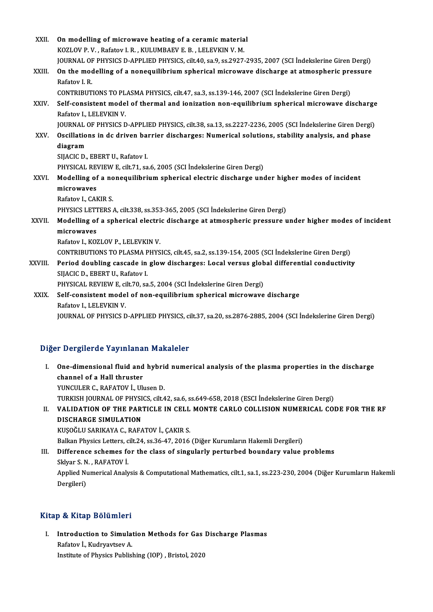| XXII.   | On modelling of microwave heating of a ceramic material                                                                  |
|---------|--------------------------------------------------------------------------------------------------------------------------|
|         | KOZLOV P. V., Rafatov I. R., KULUMBAEV E. B., LELEVKIN V. M.                                                             |
|         | JOURNAL OF PHYSICS D-APPLIED PHYSICS, cilt.40, sa.9, ss.2927-2935, 2007 (SCI Indekslerine Giren Dergi)                   |
| XXIII.  | On the modelling of a nonequilibrium spherical microwave discharge at atmospheric pressure<br>Rafatov I.R.               |
|         | CONTRIBUTIONS TO PLASMA PHYSICS, cilt.47, sa.3, ss.139-146, 2007 (SCI İndekslerine Giren Dergi)                          |
| XXIV.   | Self-consistent model of thermal and ionization non-equilibrium spherical microwave discharge<br>Rafatov I., LELEVKIN V. |
|         | JOURNAL OF PHYSICS D-APPLIED PHYSICS, cilt.38, sa.13, ss.2227-2236, 2005 (SCI Indekslerine Giren Dergi)                  |
| XXV.    | Oscillations in dc driven barrier discharges: Numerical solutions, stability analysis, and phase                         |
|         | diagram                                                                                                                  |
|         | SIJACIC D., EBERT U., Rafatov I.                                                                                         |
|         | PHYSICAL REVIEW E, cilt.71, sa.6, 2005 (SCI İndekslerine Giren Dergi)                                                    |
| XXVI.   | Modelling of a nonequilibrium spherical electric discharge under higher modes of incident                                |
|         | microwaves                                                                                                               |
|         | Rafatov I., CAKIR S                                                                                                      |
|         | PHYSICS LETTERS A, cilt 338, ss 353-365, 2005 (SCI Indekslerine Giren Dergi)                                             |
| XXVII.  | Modelling of a spherical electric discharge at atmospheric pressure under higher modes of incident                       |
|         | microwaves                                                                                                               |
|         | Rafatov I., KOZLOV P., LELEVKIN V.                                                                                       |
|         | CONTRIBUTIONS TO PLASMA PHYSICS, cilt.45, sa.2, ss.139-154, 2005 (SCI Indekslerine Giren Dergi)                          |
| XXVIII. | Period doubling cascade in glow discharges: Local versus global differential conductivity                                |
|         | SIJACIC D., EBERT U., Rafatov I.                                                                                         |
|         | PHYSICAL REVIEW E, cilt.70, sa.5, 2004 (SCI Indekslerine Giren Dergi)                                                    |
| XXIX.   | Self-consistent model of non-equilibrium spherical microwave discharge<br>Rafatov I, LELEVKIN V.                         |
|         | JOURNAL OF PHYSICS D-APPLIED PHYSICS, cilt.37, sa.20, ss.2876-2885, 2004 (SCI İndekslerine Giren Dergi)                  |

## Diğer Dergilerde Yayınlanan Makaleler

Iger Dergilerde Yayınlanan Makaleler<br>I. One-dimensional fluid and hybrid numerical analysis of the plasma properties in the discharge<br>shannal of a Hall thuustar Channel of a Hall thruster<br>Channel of a Hall thruster<br>VINCULER C. BAEATOV L. Ub **One-dimensional fluid and hybrich<br>channel of a Hall thruster<br>YUNCULER C., RAFATOV İ., Ulusen D.<br>TURKISH JOURNAL OF BUYSICS silt 4** channel of a Hall thruster<br>YUNCULER C., RAFATOV İ., Ulusen D.<br>TURKISH JOURNAL OF PHYSICS, cilt.42, sa.6, ss.649-658, 2018 (ESCI İndekslerine Giren Dergi) YUNCULER C., RAFATOV İ., Ulusen D.<br>TURKISH JOURNAL OF PHYSICS, cilt.42, sa.6, ss.649-658, 2018 (ESCI İndekslerine Giren Dergi)<br>II. VALIDATION OF THE PARTICLE IN CELL MONTE CARLO COLLISION NUMERICAL CODE FOR THE RF<br>DISC

# TURKISH JOURNAL OF PHYSI<br><mark>VALIDATION OF THE PAR'</mark><br>DISCHARGE SIMULATION<br>KUSOČIJI SABIKAVA C. PAEA VALIDATION OF THE PARTICLE IN CELL<br>DISCHARGE SIMULATION<br>KUŞOĞLU SARIKAYA C., RAFATOV İ., ÇAKIR S.<br>Palkan Physics Latters, gilt 24, ss.26, 47, 2016 BISCHARGE SIMULATION<br>KUŞOĞLU SARIKAYA C., RAFATOV İ., ÇAKIR S.<br>Balkan Physics Letters, cilt.24, ss.36-47, 2016 (Diğer Kurumların Hakemli Dergileri)

# KUŞOĞLU SARIKAYA C., RAFATOV İ., ÇAKIR S.<br>Balkan Physics Letters, cilt.24, ss.36-47, 2016 (Diğer Kurumların Hakemli Dergileri)<br>III. Difference schemes for the class of singularly perturbed boundary value problems<br>Skkya Balkan Physics Letters, c<br>Difference schemes fo<br>Sklyar S. N. , RAFATOV İ.<br>Annlied Numerical Analy

Difference schemes for the class of singularly perturbed boundary value problems<br>Sklyar S. N. , RAFATOV İ.<br>Applied Numerical Analysis & Computational Mathematics, cilt.1, sa.1, ss.223-230, 2004 (Diğer Kurumların Hakemli Sklyar S. N<br>Applied Nu<br>Dergileri)

# Dergileri)<br>Kitap & Kitap Bölümleri

itap & Kitap Bölümleri<br>I. Introduction to Simulation Methods for Gas Discharge Plasmas rafatov İ., Kudryavtsev<br>Rafatov İ., Kudryavtsev A.<br>Institute of Physics Public I<mark>ntroduction to Simulation Methods for Gas</mark><br>Rafatov İ., Kudryavtsev A.<br>Institute of Physics Publishing (IOP) , Bristol, 2020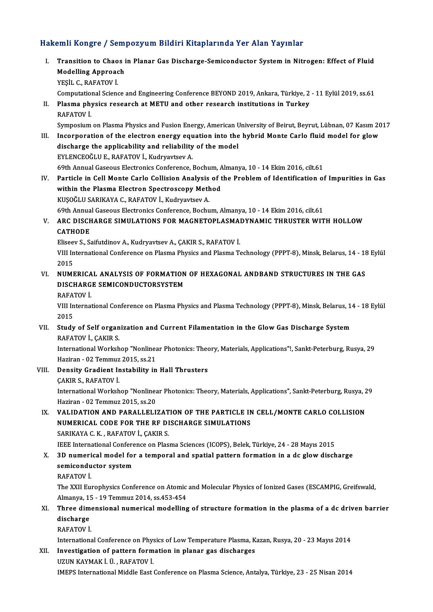# Hakemli Kongre / Sempozyum Bildiri Kitaplarında Yer Alan Yayınlar

akemli Kongre / Sempozyum Bildiri Kitaplarında Yer Alan Yayınlar<br>I. Transition to Chaos in Planar Gas Discharge-Semiconductor System in Nitrogen: Effect of Fluid<br>Medelling Appreash Man Rongrey Sonn<br>Transition to Chaos<br>Modelling Approach<br>VESU C. BAEATOV İ Modelling Approach<br>YEŞİL C., RAFATOV İ. Computational Science and Engineering Conference BEYOND 2019, Ankara, Türkiye, 2 - 11 Eylül 2019, ss.61 YEŞİL C., RAFATOV İ.<br>Computational Science and Engineering Conference BEYOND 2019, Ankara, Türkiye, 2<br>II. Plasma physics research at METU and other research institutions in Turkey<br>RAFATOV İ. Computation<br>Plasma phy<br>RAFATOV İ. Plasma physics research at METU and other research institutions in Turkey<br>RAFATOV İ.<br>Symposium on Plasma Physics and Fusion Energy, American University of Beirut, Beyrut, Lübnan, 07 Kasım 2017<br>Inconnectrion of the electron RAFATOV İ.<br>I. Symposium on Plasma Physics and Fusion Energy, American University of Beirut, Beyrut, Lübnan, 07 Kasım 20<br>III. Incorporation of the electron energy equation into the hybrid Monte Carlo fluid model for glow<br>di Symposium on Plasma Physics and Fusion Energy, American Uncorporation of the electron energy equation into the<br>discharge the applicability and reliability of the model<br>EVI ENCEOČLU E, RAEATOV L, Webwayteey A Incorporation of the electron energy equention.<br>Alischarge the applicability and reliability<br>EYLENCEOĞLU E., RAFATOV İ., Kudryavtsev A. discharge the applicability and reliability of the model<br>EYLENCEOĞLU E., RAFATOV İ., Kudryavtsev A.<br>69th Annual Gaseous Electronics Conference, Bochum, Almanya, 10 - 14 Ekim 2016, cilt.61 EYLENCEOĞLU E., RAFATOV İ., Kudryavtsev A.<br>69th Annual Gaseous Electronics Conference, Bochum, Almanya, 10 - 14 Ekim 2016, cilt.61<br>IV. Particle in Cell Monte Carlo Collision Analysis of the Problem of Identification of 69th Annual Gaseous Electronics Conference, Bochum, A<br>Particle in Cell Monte Carlo Collision Analysis of t<br>within the Plasma Electron Spectroscopy Method<br>KUSOČU I SARIKANA C. BAEATOV L. Kudruartsey A Particle in Cell Monte Carlo Collision Analysis<br>within the Plasma Electron Spectroscopy Meth<br>KUŞOĞLU SARIKAYA C., RAFATOV İ., Kudryavtsev A.<br>60th Annual Cassous Electroniss Conforense Boshu within the Plasma Electron Spectroscopy Method<br>KUŞOĞLU SARIKAYA C., RAFATOV İ., Kudryavtsev A.<br>69th Annual Gaseous Electronics Conference, Bochum, Almanya, 10 - 14 Ekim 2016, cilt.61 KUŞOĞLU SARIKAYA C., RAFATOV İ., Kudryavtsev A.<br>69th Annual Gaseous Electronics Conference, Bochum, Almanya, 10 - 14 Ekim 2016, cilt.61<br>V. ARC DISCHARGE SIMULATIONS FOR MAGNETOPLASMADYNAMIC THRUSTER WITH HOLLOW 69th Annua<br>ARC DISCH<br>CATHODE<br>Eliseou S. S. ARC DISCHARGE SIMULATIONS FOR MAGNETOPLASMA<mark>.</mark><br>CATHODE<br>Eliseev S., Saifutdinov A., Kudryavtsev A., ÇAKIR S., RAFATOV İ.<br>VIII International Conference on Plasma Physics and Plasma T. CATHODE<br>Eliseev S., Saifutdinov A., Kudryavtsev A., ÇAKIR S., RAFATOV İ.<br>VIII International Conference on Plasma Physics and Plasma Technology (PPPT-8), Minsk, Belarus, 14 - 18 Eylül<br>2015 Eliseev S., Saifutdinov A., Kudryavtsev A., CAKIR S., RAFATOV İ. VIII International Conference on Plasma Physics and Plasma Technology (PPPT-8), Minsk, Belarus, 14 - 18<br>2015<br>VI. NUMERICAL ANALYSIS OF FORMATION OF HEXAGONAL ANDBAND STRUCTURES IN THE GAS 2015<br>NUMERICAL ANALYSIS OF FORMATION<br>DISCHARGE SEMICONDUCTORSYSTEM<br>RAFATOV İ NUMERICA<br>DISCHARG<br>RAFATOV İ. DISCHARGE SEMICONDUCTORSYSTEM<br>RAFATOV İ.<br>VIII International Conference on Plasma Physics and Plasma Technology (PPPT-8), Minsk, Belarus, 14 - 18 Eylül<br>2015 RAFA'<br>VIII In<br>2015<br>Studu VIII International Conference on Plasma Physics and Plasma Technology (PPPT-8), Minsk, Belarus, 1.<br>2015<br>VII. Study of Self organization and Current Filamentation in the Glow Gas Discharge System 2015<br>VII. Study of Self organization and Current Filamentation in the Glow Gas Discharge System<br>RAFATOV İ., ÇAKIR S. Study of Self organization and Current Filamentation in the Glow Gas Discharge System<br>RAFATOV İ., ÇAKIR S.<br>International Workshop "Nonlinear Photonics: Theory, Materials, Applications"!, Sankt-Peterburg, Rusya, 29<br>Hariran, RAFATOV İ., ÇAKIR S.<br>International Workshop "Nonlinea<br>Haziran - 02 Temmuz 2015, ss.21<br>Donsity Gradiont Instability in International Workshop "Nonlinear Photonics: The<br>Haziran - 02 Temmuz 2015, ss.21<br>VIII. Density Gradient Instability in Hall Thrusters<br>CAKIR S. RAEATOV İ Haziran - 02 Temmuz<br>Density Gradient Ir<br>ÇAKIR S., RAFATOV İ.<br>International Werkeb Density Gradient Instability in Hall Thrusters<br>ÇAKIR S., RAFATOV İ.<br>International Workshop "Nonlinear Photonics: Theory, Materials, Applications", Sankt-Peterburg, Rusya, 29<br>Hariran, .03 Temmur 2015, ss.20. CAKIR S., RAFATOV İ.<br>International Workshop "Nonlinez<br>Haziran - 02 Temmuz 2015, ss.20<br>VALIDATION AND BABALLEL'İ International Workshop "Nonlinear Photonics: Theory, Materials, Applications", Sankt-Peterburg, Rusya, 2<br>Haziran - 02 Temmuz 2015, ss.20<br>IX. VALIDATION AND PARALLELIZATION OF THE PARTICLE IN CELL/MONTE CARLO COLLISION<br>NUME Haziran - 02 Temmuz 2015, ss.20<br>VALIDATION AND PARALLELIZATION OF THE PARTICLE IN<br>NUMERICAL CODE FOR THE RF DISCHARGE SIMULATIONS<br>SARIKAVA C.K., PAEATOV L.CAKIR S VALIDATION AND PARALLELIZAT<br>NUMERICAL CODE FOR THE RF DI<br>SARIKAYA C. K. , RAFATOV İ., ÇAKIR S.<br>JEEE International Conference on Plac NUMERICAL CODE FOR THE RF DISCHARGE SIMULATIONS<br>SARIKAYA C. K., RAFATOV İ., ÇAKIR S.<br>IEEE International Conference on Plasma Sciences (ICOPS), Belek, Türkiye, 24 - 28 Mayıs 2015 SARIKAYA C. K., RAFATOV İ., ÇAKIR S.<br>IEEE International Conference on Plasma Sciences (ICOPS), Belek, Türkiye, 24 - 28 Mayıs 2015<br>X. 3D numerical model for a temporal and spatial pattern formation in a dc glow discharge<br>co **IEEE International Confere**<br>3D numerical model for<br>semiconductor system<br>RAEATOV i 3D numeri<br>semicondu<br>RAFATOV İ.<br>The YYU Ew semiconductor system<br>RAFATOV İ.<br>The XXII Europhysics Conference on Atomic and Molecular Physics of Ionized Gases (ESCAMPIG, Greifswald,<br>Almanya 15 - 19 Temmus 2014, cs 452, 454 RAFATOV İ.<br>The XXII Europhysics Conference on Atomic<br>Almanya, 15 - 19 Temmuz 2014, ss.453-454<br>Three dimensianal numerisal modelline The XXII Europhysics Conference on Atomic and Molecular Physics of Ionized Gases (ESCAMPIG, Greifswald,<br>Almanya, 15 - 19 Temmuz 2014, ss.453-454<br>XI. Three dimensional numerical modelling of structure formation in the plasm Almanya, 1!<br>Three dim<br>discharge<br>PAEATOV i Three dime<br>discharge<br>RAFATOV İ. discharge<br>RAFATOV İ.<br>International Conference on Physics of Low Temperature Plasma, Kazan, Rusya, 20 - 23 Mayıs 2014 RAFATOV İ.<br>International Conference on Physics of Low Temperature Plasma, K.<br>XII. Investigation of pattern formation in planar gas discharges<br>ITTIN KAYMAKİ Ü. PAFATOV İ. International Conference on Phys<br>Investigation of pattern form<br>UZUN KAYMAK İ. Ü. , RAFATOV İ.<br>IMERS International Middle Fest

UZUN KAYMAK İ. Ü. , RAFATOV İ.<br>IMEPS International Middle East Conference on Plasma Science, Antalya, Türkiye, 23 - 25 Nisan 2014